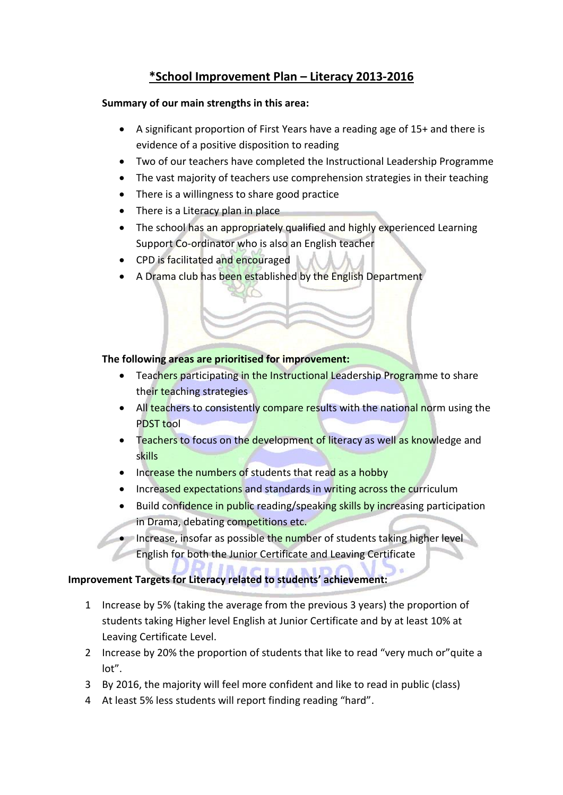# **\*School Improvement Plan – Literacy 2013-2016**

#### **Summary of our main strengths in this area:**

- A significant proportion of First Years have a reading age of 15+ and there is evidence of a positive disposition to reading
- Two of our teachers have completed the Instructional Leadership Programme
- The vast majority of teachers use comprehension strategies in their teaching
- There is a willingness to share good practice
- There is a Literacy plan in place
- The school has an appropriately qualified and highly experienced Learning Support Co-ordinator who is also an English teacher
- CPD is facilitated and encouraged
- A Drama club has been established by the English Department

## **The following areas are prioritised for improvement:**

- Teachers participating in the Instructional Leadership Programme to share their teaching strategies
- All teachers to consistently compare results with the national norm using the PDST tool
- Teachers to focus on the development of literacy as well as knowledge and skills
- Increase the numbers of students that read as a hobby
- Increased expectations and standards in writing across the curriculum
- Build confidence in public reading/speaking skills by increasing participation in Drama, debating competitions etc.
- Increase, insofar as possible the number of students taking higher level English for both the Junior Certificate and Leaving Certificate

## **Improvement Targets for Literacy related to students' achievement:**

- 1 Increase by 5% (taking the average from the previous 3 years) the proportion of students taking Higher level English at Junior Certificate and by at least 10% at Leaving Certificate Level.
- 2 Increase by 20% the proportion of students that like to read "very much or"quite a lot".
- 3 By 2016, the majority will feel more confident and like to read in public (class)
- 4 At least 5% less students will report finding reading "hard".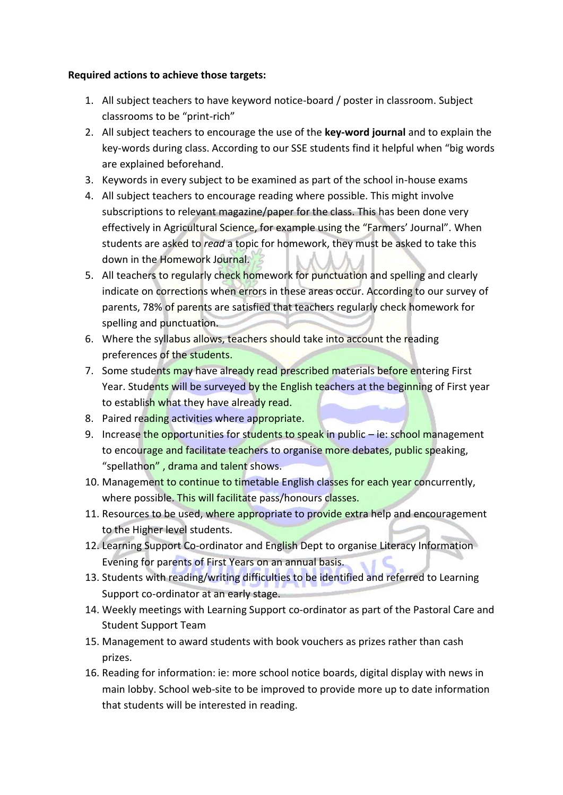#### **Required actions to achieve those targets:**

- 1. All subject teachers to have keyword notice-board / poster in classroom. Subject classrooms to be "print-rich"
- 2. All subject teachers to encourage the use of the **key-word journal** and to explain the key-words during class. According to our SSE students find it helpful when "big words are explained beforehand.
- 3. Keywords in every subject to be examined as part of the school in-house exams
- 4. All subject teachers to encourage reading where possible. This might involve subscriptions to relevant magazine/paper for the class. This has been done very effectively in Agricultural Science, for example using the "Farmers' Journal". When students are asked to *read* a topic for homework, they must be asked to take this down in the Homework Journal.
- 5. All teachers to regularly check homework for punctuation and spelling and clearly indicate on corrections when errors in these areas occur. According to our survey of parents, 78% of parents are satisfied that teachers regularly check homework for spelling and punctuation.
- 6. Where the syllabus allows, teachers should take into account the reading preferences of the students.
- 7. Some students may have already read prescribed materials before entering First Year. Students will be surveyed by the English teachers at the beginning of First year to establish what they have already read.
- 8. Paired reading activities where appropriate.
- 9. Increase the opportunities for students to speak in public  $-$  ie: school management to encourage and facilitate teachers to organise more debates, public speaking, "spellathon", drama and talent shows.
- 10. Management to continue to timetable English classes for each year concurrently, where possible. This will facilitate pass/honours classes.
- 11. Resources to be used, where appropriate to provide extra help and encouragement to the Higher level students.
- 12. Learning Support Co-ordinator and English Dept to organise Literacy Information Evening for parents of First Years on an annual basis.
- 13. Students with reading/writing difficulties to be identified and referred to Learning Support co-ordinator at an early stage.
- 14. Weekly meetings with Learning Support co-ordinator as part of the Pastoral Care and Student Support Team
- 15. Management to award students with book vouchers as prizes rather than cash prizes.
- 16. Reading for information: ie: more school notice boards, digital display with news in main lobby. School web-site to be improved to provide more up to date information that students will be interested in reading.